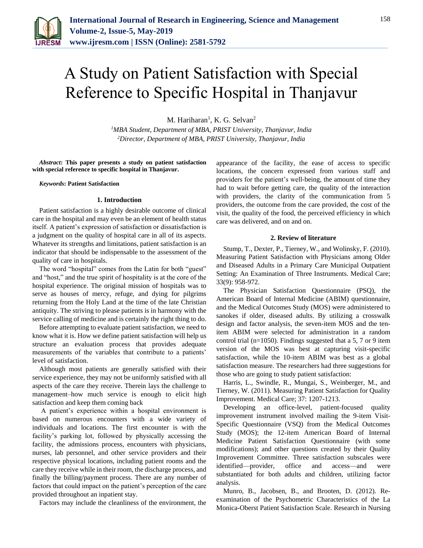

# A Study on Patient Satisfaction with Special Reference to Specific Hospital in Thanjavur

M. Hariharan<sup>1</sup>, K. G. Selvan<sup>2</sup>

*<sup>1</sup>MBA Student, Department of MBA, PRIST University, Thanjavur, India 2Director, Department of MBA, PRIST University, Thanjavur, India*

*Abstract***: This paper presents a study on patient satisfaction with special reference to specific hospital in Thanjavur.**

#### *Keywords***: Patient Satisfaction**

#### **1. Introduction**

Patient satisfaction is a highly desirable outcome of clinical care in the hospital and may even be an element of health status itself. A patient's expression of satisfaction or dissatisfaction is a judgment on the quality of hospital care in all of its aspects. Whatever its strengths and limitations, patient satisfaction is an indicator that should be indispensable to the assessment of the quality of care in hospitals.

The word "hospital" comes from the Latin for both "guest" and "host," and the true spirit of hospitality is at the core of the hospital experience. The original mission of hospitals was to serve as houses of mercy, refuge, and dying for pilgrims returning from the Holy Land at the time of the late Christian antiquity. The striving to please patients is in harmony with the service calling of medicine and is certainly the right thing to do.

Before attempting to evaluate patient satisfaction, we need to know what it is. How we define patient satisfaction will help us structure an evaluation process that provides adequate measurements of the variables that contribute to a patients' level of satisfaction.

Although most patients are generally satisfied with their service experience, they may not be uniformly satisfied with all aspects of the care they receive. Therein lays the challenge to management–how much service is enough to elicit high satisfaction and keep them coming back

A patient's experience within a hospital environment is based on numerous encounters with a wide variety of individuals and locations. The first encounter is with the facility's parking lot, followed by physically accessing the facility, the admissions process, encounters with physicians, nurses, lab personnel, and other service providers and their respective physical locations, including patient rooms and the care they receive while in their room, the discharge process, and finally the billing/payment process. There are any number of factors that could impact on the patient's perception of the care provided throughout an inpatient stay.

Factors may include the cleanliness of the environment, the

appearance of the facility, the ease of access to specific locations, the concern expressed from various staff and providers for the patient's well-being, the amount of time they had to wait before getting care, the quality of the interaction with providers, the clarity of the communication from 5 providers, the outcome from the care provided, the cost of the visit, the quality of the food, the perceived efficiency in which care was delivered, and on and on.

#### **2. Review of literature**

Stump, T., Dexter, P., Tierney, W., and Wolinsky, F. (2010). Measuring Patient Satisfaction with Physicians among Older and Diseased Adults in a Primary Care Municipal Outpatient Setting: An Examination of Three Instruments. Medical Care; 33(9): 958-972.

The Physician Satisfaction Questionnaire (PSQ), the American Board of Internal Medicine (ABIM) questionnaire, and the Medical Outcomes Study (MOS) were administered to sanokes if older, diseased adults. By utilizing a crosswalk design and factor analysis, the seven-item MOS and the tenitem ABIM were selected for administration in a random control trial (n=1050). Findings suggested that a 5, 7 or 9 item version of the MOS was best at capturing visit-specific satisfaction, while the 10-item ABIM was best as a global satisfaction measure. The researchers had three suggestions for those who are going to study patient satisfaction:

Harris, L., Swindle, R., Mungai, S., Weinberger, M., and Tierney, W. (2011). Measuring Patient Satisfaction for Quality Improvement. Medical Care; 37: 1207-1213.

Developing an office-level, patient-focused quality improvement instrument involved mailing the 9-item Visit-Specific Questionnaire (VSQ) from the Medical Outcomes Study (MOS); the 12-item American Board of Internal Medicine Patient Satisfaction Questionnaire (with some modifications); and other questions created by their Quality Improvement Committee. Three satisfaction subscales were identified—provider, office and access—and were substantiated for both adults and children, utilizing factor analysis.

Munro, B., Jacobsen, B., and Brooten, D. (2012). Reexamination of the Psychometric Characteristics of the La Monica-Oberst Patient Satisfaction Scale. Research in Nursing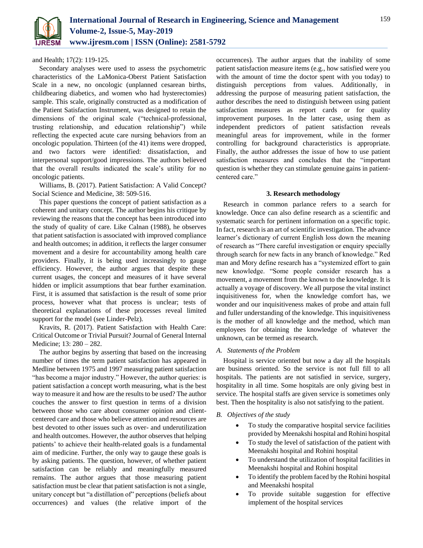

and Health; 17(2): 119-125.

Secondary analyses were used to assess the psychometric characteristics of the LaMonica-Oberst Patient Satisfaction Scale in a new, no oncologic (unplanned cesarean births, childbearing diabetics, and women who had hysterectomies) sample. This scale, originally constructed as a modification of the Patient Satisfaction Instrument, was designed to retain the dimensions of the original scale ("technical-professional, trusting relationship, and education relationship") while reflecting the expected acute care nursing behaviors from an oncologic population. Thirteen (of the 41) items were dropped, and two factors were identified: dissatisfaction, and interpersonal support/good impressions. The authors believed that the overall results indicated the scale's utility for no oncologic patients.

Williams, B. (2017). Patient Satisfaction: A Valid Concept? Social Science and Medicine, 38: 509-516.

This paper questions the concept of patient satisfaction as a coherent and unitary concept. The author begins his critique by reviewing the reasons that the concept has been introduced into the study of quality of care. Like Calnan (1988), he observes that patient satisfaction is associated with improved compliance and health outcomes; in addition, it reflects the larger consumer movement and a desire for accountability among health care providers. Finally, it is being used increasingly to gauge efficiency. However, the author argues that despite these current usages, the concept and measures of it have several hidden or implicit assumptions that bear further examination. First, it is assumed that satisfaction is the result of some prior process, however what that process is unclear; tests of theoretical explanations of these processes reveal limited support for the model (see Linder-Pelz).

Kravits, R. (2017). Patient Satisfaction with Health Care: Critical Outcome or Trivial Pursuit? Journal of General Internal Medicine; 13: 280 – 282.

The author begins by asserting that based on the increasing number of times the term patient satisfaction has appeared in Medline between 1975 and 1997 measuring patient satisfaction "has become a major industry." However, the author queries: is patient satisfaction a concept worth measuring, what is the best way to measure it and how are the results to be used? The author couches the answer to first question in terms of a division between those who care about consumer opinion and clientcentered care and those who believe attention and resources are best devoted to other issues such as over- and underutilization and health outcomes. However, the author observes that helping patients' to achieve their health-related goals is a fundamental aim of medicine. Further, the only way to gauge these goals is by asking patients. The question, however, of whether patient satisfaction can be reliably and meaningfully measured remains. The author argues that those measuring patient satisfaction must be clear that patient satisfaction is not a single, unitary concept but "a distillation of" perceptions (beliefs about occurrences) and values (the relative import of the occurrences). The author argues that the inability of some patient satisfaction measure items (e.g., how satisfied were you with the amount of time the doctor spent with you today) to distinguish perceptions from values. Additionally, in addressing the purpose of measuring patient satisfaction, the author describes the need to distinguish between using patient satisfaction measures as report cards or for quality improvement purposes. In the latter case, using them as independent predictors of patient satisfaction reveals meaningful areas for improvement, while in the former controlling for background characteristics is appropriate. Finally, the author addresses the issue of how to use patient satisfaction measures and concludes that the "important question is whether they can stimulate genuine gains in patientcentered care."

#### **3. Research methodology**

Research in common parlance refers to a search for knowledge. Once can also define research as a scientific and systematic search for pertinent information on a specific topic. In fact, research is an art of scientific investigation. The advance learner's dictionary of current English loss down the meaning of research as "There careful investigation or enquiry specially through search for new facts in any branch of knowledge." Red man and Mory define research has a "systemized effort to gain new knowledge. "Some people consider research has a movement, a movement from the known to the knowledge. It is actually a voyage of discovery. We all purpose the vital instinct inquisitiveness for, when the knowledge comfort has, we wonder and our inquisitiveness makes of probe and attain full and fuller understanding of the knowledge. This inquisitiveness is the mother of all knowledge and the method, which man employees for obtaining the knowledge of whatever the unknown, can be termed as research.

#### *A. Statements of the Problem*

Hospital is service oriented but now a day all the hospitals are business oriented. So the service is not full fill to all hospitals. The patients are not satisfied in service, surgery, hospitality in all time. Some hospitals are only giving best in service. The hospital staffs are given service is sometimes only best. Then the hospitality is also not satisfying to the patient.

#### *B. Objectives of the study*

- To study the comparative hospital service facilities provided by Meenakshi hospital and Rohini hospital
- To study the level of satisfaction of the patient with Meenakshi hospital and Rohini hospital
- To understand the utilization of hospital facilities in Meenakshi hospital and Rohini hospital
- To identify the problem faced by the Rohini hospital and Meenakshi hospital
- To provide suitable suggestion for effective implement of the hospital services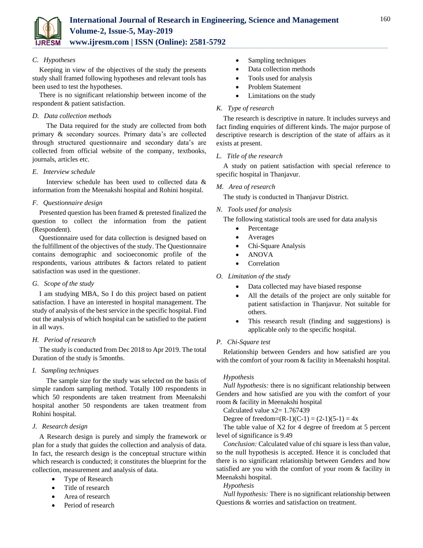

*C. Hypotheses*

Keeping in view of the objectives of the study the presents study shall framed following hypotheses and relevant tools has been used to test the hypotheses.

There is no significant relationship between income of the respondent & patient satisfaction.

# *D. Data collection methods*

The Data required for the study are collected from both primary & secondary sources. Primary data's are collected through structured questionnaire and secondary data's are collected from official website of the company, textbooks, journals, articles etc.

# *E. Interview schedule*

Interview schedule has been used to collected data & information from the Meenakshi hospital and Rohini hospital.

# *F. Questionnaire design*

Presented question has been framed & pretested finalized the question to collect the information from the patient (Respondent).

Questionnaire used for data collection is designed based on the fulfillment of the objectives of the study. The Questionnaire contains demographic and socioeconomic profile of the respondents, various attributes & factors related to patient satisfaction was used in the questioner.

#### *G. Scope of the study*

I am studying MBA, So I do this project based on patient satisfaction. I have an interested in hospital management. The study of analysis of the best service in the specific hospital. Find out the analysis of which hospital can be satisfied to the patient in all ways.

# *H. Period of research*

The study is conducted from Dec 2018 to Apr 2019. The total Duration of the study is 5months.

# *I. Sampling techniques*

The sample size for the study was selected on the basis of simple random sampling method. Totally 100 respondents in which 50 respondents are taken treatment from Meenakshi hospital another 50 respondents are taken treatment from Rohini hospital.

# *J. Research design*

A Research design is purely and simply the framework or plan for a study that guides the collection and analysis of data. In fact, the research design is the conceptual structure within which research is conducted; it constitutes the blueprint for the collection, measurement and analysis of data.

- Type of Research
- Title of research
- Area of research
- Period of research
- Sampling techniques
- Data collection methods
- Tools used for analysis
- Problem Statement
- Limitations on the study

# *K. Type of research*

The research is descriptive in nature. It includes surveys and fact finding enquiries of different kinds. The major purpose of descriptive research is description of the state of affairs as it exists at present.

#### *L. Title of the research*

A study on patient satisfaction with special reference to specific hospital in Thanjavur.

#### *M. Area of research*

The study is conducted in Thanjavur District.

#### *N. Tools used for analysis*

The following statistical tools are used for data analysis

- Percentage
- Averages
- Chi-Square Analysis
- ANOVA
- Correlation
- *O. Limitation of the study*
	- Data collected may have biased response
	- All the details of the project are only suitable for patient satisfaction in Thanjavur. Not suitable for others.
	- This research result (finding and suggestions) is applicable only to the specific hospital.

#### *P. Chi-Square test*

Relationship between Genders and how satisfied are you with the comfort of your room & facility in Meenakshi hospital.

# *Hypothesis*

*Null hypothesis:* there is no significant relationship between Genders and how satisfied are you with the comfort of your room & facility in Meenakshi hospital

Calculated value  $x2=1.767439$ 

Degree of freedom= $(R-1)(C-1) = (2-1)(5-1) = 4x$ 

The table value of X2 for 4 degree of freedom at 5 percent level of significance is 9.49

*Conclusion:* Calculated value of chi square is less than value, so the null hypothesis is accepted. Hence it is concluded that there is no significant relationship between Genders and how satisfied are you with the comfort of your room & facility in Meenakshi hospital.

#### *Hypothesis*

*Null hypothesis:* There is no significant relationship between Questions & worries and satisfaction on treatment.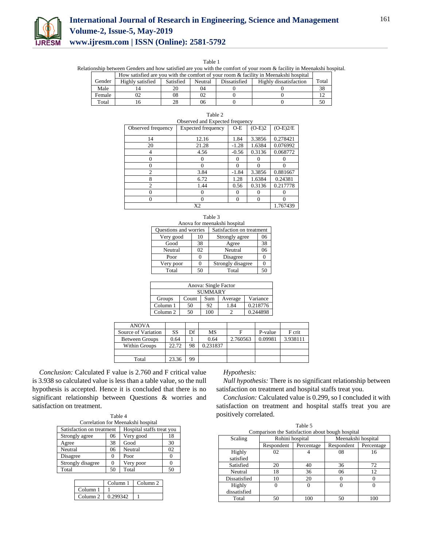

# **International Journal of Research in Engineering, Science and Management Volume-2, Issue-5, May-2019 www.ijresm.com | ISSN (Online): 2581-5792**

Table 1

Relationship between Genders and how satisfied are you with the comfort of your room & facility in Meenakshi hospital.

|        | How satisfied are you with the comfort of your room & facility in Meenakshi hospital |    |    |  |  |       |
|--------|--------------------------------------------------------------------------------------|----|----|--|--|-------|
| Gender | Highly satisfied<br>Highly dissatisfaction<br>Satisfied<br>Dissatisfied<br>Neutral   |    |    |  |  | Total |
| Male   |                                                                                      | 20 | 04 |  |  | 38    |
| Female |                                                                                      | 08 |    |  |  |       |
| Total  |                                                                                      | 28 | 06 |  |  | 50    |

| Observed and Expected frequency |                           |          |          |            |  |  |
|---------------------------------|---------------------------|----------|----------|------------|--|--|
| Observed frequency              | <b>Expected frequency</b> | $O-E$    | $(O-E)2$ | $(O-E)2/E$ |  |  |
| 14                              | 12.16                     | 1.84     | 3.3856   | 0.278421   |  |  |
| 20                              | 21.28                     | $-1.28$  | 1.6384   | 0.076992   |  |  |
| 4                               | 4.56                      | $-0.56$  | 0.3136   | 0.068772   |  |  |
| 0                               |                           |          |          |            |  |  |
| 0                               |                           | 0        |          |            |  |  |
| $\overline{c}$                  | 3.84                      | $-1.84$  | 3.3856   | 0.881667   |  |  |
| 8                               | 6.72                      | 1.28     | 1.6384   | 0.24381    |  |  |
| $\mathfrak{D}$                  | 1.44                      | 0.56     | 0.3136   | 0.217778   |  |  |
| 0                               |                           |          |          |            |  |  |
| 0                               | 0                         | $\Omega$ |          | 0          |  |  |
|                                 | 1.767439                  |          |          |            |  |  |

| Table |  |
|-------|--|
|       |  |

| Table 3                      |    |                           |    |  |  |  |  |
|------------------------------|----|---------------------------|----|--|--|--|--|
| Anova for meenakshi hospital |    |                           |    |  |  |  |  |
| <b>Ouestions and worries</b> |    | Satisfaction on treatment |    |  |  |  |  |
| Very good                    | 10 | Strongly agree            | 06 |  |  |  |  |
| Good                         | 38 | Agree                     | 38 |  |  |  |  |
| Neutral                      | 02 | Neutral                   | 06 |  |  |  |  |
| Poor                         |    | Disagree                  |    |  |  |  |  |
| Very poor                    |    | Strongly disagree         |    |  |  |  |  |
| Total                        | 50 | Total                     | 50 |  |  |  |  |

| Anova: Single Factor                          |    |                  |      |          |  |  |
|-----------------------------------------------|----|------------------|------|----------|--|--|
| <b>SUMMARY</b>                                |    |                  |      |          |  |  |
| Variance<br>Groups<br>Count<br>Average<br>Sum |    |                  |      |          |  |  |
| Column 1                                      | 50 | 92               | 1.84 | 0.218776 |  |  |
| Column <sub>2</sub>                           | 50 | 100 <sup>-</sup> |      | 0.244898 |  |  |

| <b>ANOVA</b>          |       |    |          |          |         |          |
|-----------------------|-------|----|----------|----------|---------|----------|
| Source of Variation   | SS    | Df | MS       |          | P-value | F crit   |
| <b>Between Groups</b> | 0.64  |    | 0.64     | 2.760563 | 0.09981 | 3.938111 |
| <b>Within Groups</b>  | 22.72 | 98 | 0.231837 |          |         |          |
|                       |       |    |          |          |         |          |
| Total                 | 23.36 | 99 |          |          |         |          |

*Conclusion:* Calculated F value is 2.760 and F critical value is 3.938 so calculated value is less than a table value, so the null hypothesis is accepted. Hence it is concluded that there is no significant relationship between Questions & worries and satisfaction on treatment.

| Table 4                                                |                   |           |    |  |  |  |  |
|--------------------------------------------------------|-------------------|-----------|----|--|--|--|--|
| Correlation for Meenakshi hospital                     |                   |           |    |  |  |  |  |
| Satisfaction on treatment<br>Hospital staffs treat you |                   |           |    |  |  |  |  |
| Strongly agree                                         | 06                | Very good | 18 |  |  |  |  |
| Agree                                                  | 38                | Good      | 30 |  |  |  |  |
| Neutral                                                | 06                | Neutral   | 02 |  |  |  |  |
| Disagree                                               | $\mathbf{\Omega}$ | Poor      |    |  |  |  |  |
| Strongly disagree                                      |                   | Very poor |    |  |  |  |  |
| Total                                                  | 50                | Total     | 50 |  |  |  |  |

|                     | Column 1 | Column <sub>2</sub> |
|---------------------|----------|---------------------|
| Column <sub>1</sub> |          |                     |
| Column <sub>2</sub> | 0.299342 |                     |

#### *Hypothesis:*

*Null hypothesis:* There is no significant relationship between satisfaction on treatment and hospital staffs treat you.

*Conclusion:* Calculated value is 0.299, so I concluded it with satisfaction on treatment and hospital staffs treat you are positively correlated.

| Table 5                                          |                 |            |                    |            |  |  |  |
|--------------------------------------------------|-----------------|------------|--------------------|------------|--|--|--|
| Comparison the Satisfaction about bough hospital |                 |            |                    |            |  |  |  |
| Scaling                                          | Rohini hospital |            | Meenakshi hospital |            |  |  |  |
|                                                  | Respondent      | Percentage | Respondent         | Percentage |  |  |  |
| Highly                                           | 02              |            | 08                 | 16         |  |  |  |
| satisfied                                        |                 |            |                    |            |  |  |  |
| Satisfied                                        | 20              | 40         | 36                 | 72         |  |  |  |
| Neutral                                          | 18              | 36         | 06                 | 12         |  |  |  |
| Dissatisfied                                     | 10              | 20         |                    |            |  |  |  |
| Highly                                           |                 |            | 0                  |            |  |  |  |
| dissatisfied                                     |                 |            |                    |            |  |  |  |
| Total                                            |                 | 100        | 50                 | 100        |  |  |  |

161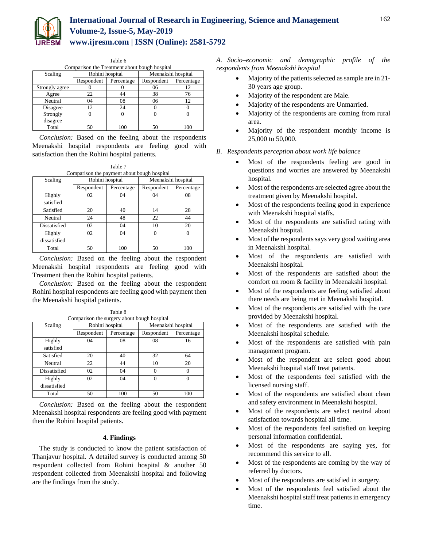

| Table 6        |                                               |            |                    |            |  |  |  |  |
|----------------|-----------------------------------------------|------------|--------------------|------------|--|--|--|--|
|                | Comparison the Treatment about bough hospital |            |                    |            |  |  |  |  |
| Scaling        | Rohini hospital                               |            | Meenakshi hospital |            |  |  |  |  |
|                | Respondent                                    | Percentage | Respondent         | Percentage |  |  |  |  |
| Strongly agree |                                               |            | 06                 | 12         |  |  |  |  |
| Agree          | 22                                            | 44         | 38                 | 76         |  |  |  |  |
| Neutral        | 04                                            | 08         | 06                 | 12         |  |  |  |  |
| Disagree       | 12.                                           | 24         |                    |            |  |  |  |  |
| Strongly       |                                               |            |                    |            |  |  |  |  |
| disagree       |                                               |            |                    |            |  |  |  |  |
| Total          | 50                                            | 100        | 50                 | 100        |  |  |  |  |

*Conclusion:* Based on the feeling about the respondents Meenakshi hospital respondents are feeling good with satisfaction then the Rohini hospital patients.

|       | Table 7                                     |              |
|-------|---------------------------------------------|--------------|
|       | Comparison the payment about bough hospital |              |
| ılino | Rohini hospital                             | Meenakshi ho |

| Scaling      | Rohini hospital |            | Meenakshi hospital |            |
|--------------|-----------------|------------|--------------------|------------|
|              | Respondent      | Percentage | Respondent         | Percentage |
| Highly       | 02              | 04         | 04                 | 08         |
| satisfied    |                 |            |                    |            |
| Satisfied    | 20              | 40         | 14                 | 28         |
| Neutral      | 24              | 48         | 22                 | 44         |
| Dissatisfied | 02              | 04         | 10                 | 20         |
| Highly       | 02              | 04         | 0                  | 0          |
| dissatisfied |                 |            |                    |            |
| Total        | 50              | 100        | 50                 | 100        |

*Conclusion:* Based on the feeling about the respondent Meenakshi hospital respondents are feeling good with Treatment then the Rohini hospital patients.

*Conclusion:* Based on the feeling about the respondent Rohini hospital respondents are feeling good with payment then the Meenakshi hospital patients.

| Scaling                | Rohini hospital |            | Meenakshi hospital |            |
|------------------------|-----------------|------------|--------------------|------------|
|                        | Respondent      | Percentage | Respondent         | Percentage |
| Highly<br>satisfied    | 04              | 08         | 08                 | 16         |
| Satisfied              | 20              | 40         | 32                 | 64         |
| Neutral                | 22              | 44         | 10                 | 20         |
| Dissatisfied           | 02              | 04         |                    |            |
| Highly<br>dissatisfied | 02              | 04         | 0                  | $\Omega$   |
| Total                  | 50              | 100        | 50                 | 100        |

Table 8 Comparison the surgery about bough hospital

*Conclusion:* Based on the feeling about the respondent Meenakshi hospital respondents are feeling good with payment then the Rohini hospital patients.

#### **4. Findings**

The study is conducted to know the patient satisfaction of Thanjavur hospital. A detailed survey is conducted among 50 respondent collected from Rohini hospital & another 50 respondent collected from Meenakshi hospital and following are the findings from the study.

*A. Socio–economic and demographic profile of the respondents from Meenakshi hospital*

- Majority of the patients selected as sample are in 21- 30 years age group.
- Majority of the respondent are Male.
- Majority of the respondents are Unmarried.
- Majority of the respondents are coming from rural area.
- Majority of the respondent monthly income is 25,000 to 50,000.
- *B. Respondents perception about work life balance*
	- Most of the respondents feeling are good in questions and worries are answered by Meenakshi hospital.
	- Most of the respondents are selected agree about the treatment given by Meenakshi hospital.
	- Most of the respondents feeling good in experience with Meenakshi hospital staffs.
	- Most of the respondents are satisfied rating with Meenakshi hospital.
	- Most of the respondents says very good waiting area in Meenakshi hospital.
	- Most of the respondents are satisfied with Meenakshi hospital.
	- Most of the respondents are satisfied about the comfort on room & facility in Meenakshi hospital.
	- Most of the respondents are feeling satisfied about there needs are being met in Meenakshi hospital.
	- Most of the respondents are satisfied with the care provided by Meenakshi hospital.
	- Most of the respondents are satisfied with the Meenakshi hospital schedule.
	- Most of the respondents are satisfied with pain management program.
	- Most of the respondent are select good about Meenakshi hospital staff treat patients.
	- Most of the respondents feel satisfied with the licensed nursing staff.
	- Most of the respondents are satisfied about clean and safety environment in Meenakshi hospital.
	- Most of the respondents are select neutral about satisfaction towards hospital all time.
	- Most of the respondents feel satisfied on keeping personal information confidential.
	- Most of the respondents are saying yes, for recommend this service to all.
	- Most of the respondents are coming by the way of referred by doctors.
	- Most of the respondents are satisfied in surgery.
	- Most of the respondents feel satisfied about the Meenakshi hospital staff treat patients in emergency time.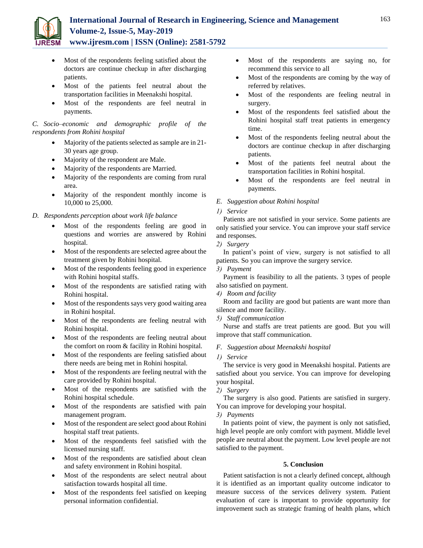

- Most of the respondents feeling satisfied about the doctors are continue checkup in after discharging patients.
- Most of the patients feel neutral about the transportation facilities in Meenakshi hospital.
- Most of the respondents are feel neutral in payments.

# *C. Socio–economic and demographic profile of the respondents from Rohini hospital*

- Majority of the patients selected as sample are in 21- 30 years age group.
- Majority of the respondent are Male.
- Majority of the respondents are Married.
- Majority of the respondents are coming from rural area.
- Majority of the respondent monthly income is 10,000 to 25,000.

# *D. Respondents perception about work life balance*

- Most of the respondents feeling are good in questions and worries are answered by Rohini hospital.
- Most of the respondents are selected agree about the treatment given by Rohini hospital.
- Most of the respondents feeling good in experience with Rohini hospital staffs.
- Most of the respondents are satisfied rating with Rohini hospital.
- Most of the respondents says very good waiting area in Rohini hospital.
- Most of the respondents are feeling neutral with Rohini hospital.
- Most of the respondents are feeling neutral about the comfort on room & facility in Rohini hospital.
- Most of the respondents are feeling satisfied about there needs are being met in Rohini hospital.
- Most of the respondents are feeling neutral with the care provided by Rohini hospital.
- Most of the respondents are satisfied with the Rohini hospital schedule.
- Most of the respondents are satisfied with pain management program.
- Most of the respondent are select good about Rohini hospital staff treat patients.
- Most of the respondents feel satisfied with the licensed nursing staff.
- Most of the respondents are satisfied about clean and safety environment in Rohini hospital.
- Most of the respondents are select neutral about satisfaction towards hospital all time.
- Most of the respondents feel satisfied on keeping personal information confidential.
- Most of the respondents are saying no, for recommend this service to all
- Most of the respondents are coming by the way of referred by relatives.
- Most of the respondents are feeling neutral in surgery.
- Most of the respondents feel satisfied about the Rohini hospital staff treat patients in emergency time.
- Most of the respondents feeling neutral about the doctors are continue checkup in after discharging patients.
- Most of the patients feel neutral about the transportation facilities in Rohini hospital.
- Most of the respondents are feel neutral in payments.

# *E. Suggestion about Rohini hospital*

*1) Service*

Patients are not satisfied in your service. Some patients are only satisfied your service. You can improve your staff service and responses.

*2) Surgery*

In patient's point of view, surgery is not satisfied to all patients. So you can improve the surgery service.

*3) Payment*

Payment is feasibility to all the patients. 3 types of people also satisfied on payment.

*4) Room and facility*

Room and facility are good but patients are want more than silence and more facility.

*5) Staff communication*

Nurse and staffs are treat patients are good. But you will improve that staff communication.

- *F. Suggestion about Meenakshi hospital*
- *1) Service*

The service is very good in Meenakshi hospital. Patients are satisfied about you service. You can improve for developing your hospital.

*2) Surgery*

The surgery is also good. Patients are satisfied in surgery. You can improve for developing your hospital.

*3) Payments*

In patients point of view, the payment is only not satisfied, high level people are only comfort with payment. Middle level people are neutral about the payment. Low level people are not satisfied to the payment.

# **5. Conclusion**

Patient satisfaction is not a clearly defined concept, although it is identified as an important quality outcome indicator to measure success of the services delivery system. Patient evaluation of care is important to provide opportunity for improvement such as strategic framing of health plans, which